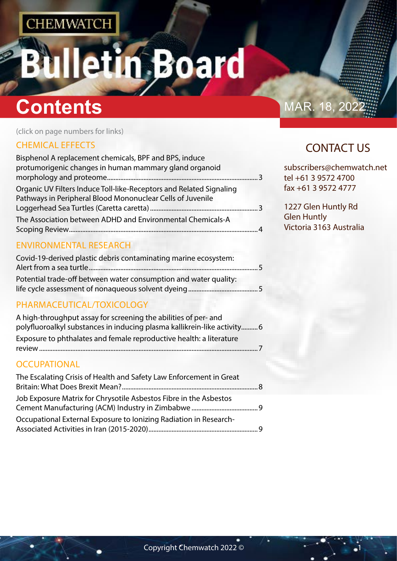# etin Board

# **Contents** MAR. 18, 202

(click on page numbers for links)

## [CHEMICAL EFFECTS](#page-1-0)

| Bisphenol A replacement chemicals, BPF and BPS, induce                                                                            |          |
|-----------------------------------------------------------------------------------------------------------------------------------|----------|
| protumorigenic changes in human mammary gland organoid                                                                            |          |
| Organic UV Filters Induce Toll-like-Receptors and Related Signaling<br>Pathways in Peripheral Blood Mononuclear Cells of Juvenile |          |
|                                                                                                                                   |          |
| The Association between ADHD and Environmental Chemicals-A                                                                        | $\Delta$ |

## [ENVIRONMENTAL RESEARCH](#page-2-0)

| Covid-19-derived plastic debris contaminating marine ecosystem:  |  |
|------------------------------------------------------------------|--|
| Potential trade-off between water consumption and water quality: |  |
|                                                                  |  |

## [PHARMACEUTICAL/TOXICOLOGY](#page-2-0)

| A high-throughput assay for screening the abilities of per- and          |  |
|--------------------------------------------------------------------------|--|
| polyfluoroalkyl substances in inducing plasma kallikrein-like activity 6 |  |
| Exposure to phthalates and female reproductive health: a literature      |  |
|                                                                          |  |

## **[OCCUPATIONAL](#page-3-0)**

| The Escalating Crisis of Health and Safety Law Enforcement in Great |  |
|---------------------------------------------------------------------|--|
| Job Exposure Matrix for Chrysotile Asbestos Fibre in the Asbestos   |  |
| Occupational External Exposure to lonizing Radiation in Research-   |  |

# CONTACT US

subscribers@chemwatch.net tel +61 3 9572 4700 fax +61 3 9572 4777

1227 Glen Huntly Rd Glen Huntly Victoria 3163 Australia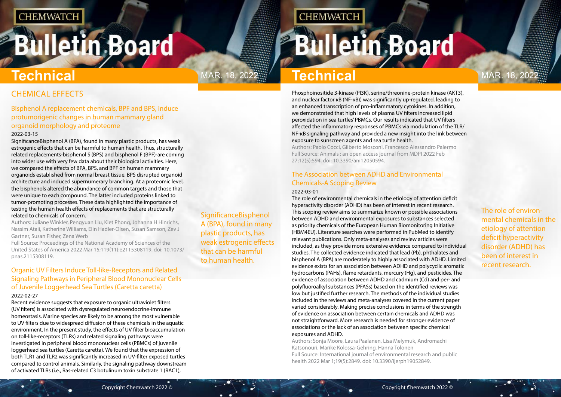# <span id="page-1-0"></span>**Bulletin Board**

**SignificanceBisphenol** A (BPA), found in many plastic products, has weak estrogenic effects that can be harmful to human health.

# Mar. 18, 2022 Mar. 18, 2022 **Technical**

**CHEMWATCH** 

The role of environmental chemicals in the etiology of attention deficit hyperactivity disorder (ADHD) has been of interest in recent research.

# CHEMICAL EFFECTS

## Bisphenol A replacement chemicals, BPF and BPS, induce protumorigenic changes in human mammary gland organoid morphology and proteome

### 2022-03-15

SignificanceBisphenol A (BPA), found in many plastic products, has weak estrogenic effects that can be harmful to human health. Thus, structurally related replacements-bisphenol S (BPS) and bisphenol F (BPF)-are coming into wider use with very few data about their biological activities. Here, we compared the effects of BPA, BPS, and BPF on human mammary organoids established from normal breast tissue. BPS disrupted organoid architecture and induced supernumerary branching. At a proteomic level, the bisphenols altered the abundance of common targets and those that were unique to each compound. The latter included proteins linked to tumor-promoting processes. These data highlighted the importance of testing the human health effects of replacements that are structurally related to chemicals of concern.

Authors: Juliane Winkler, Pengyuan Liu, Kiet Phong, Johanna H Hinrichs, Nassim Ataii, Katherine Williams, Elin Hadler-Olsen, Susan Samson, Zev J Gartner, Susan Fisher, Zena Werb

Full Source: Proceedings of the National Academy of Sciences of the United States of America 2022 Mar 15;119(11):e2115308119. doi: 10.1073/ pnas.2115308119.

## Organic UV Filters Induce Toll-like-Receptors and Related Signaling Pathways in Peripheral Blood Mononuclear Cells of Juvenile Loggerhead Sea Turtles (Caretta caretta)

### 2022-02-27

Recent evidence suggests that exposure to organic ultraviolet filters (UV filters) is associated with dysregulated neuroendocrine-immune homeostasis. Marine species are likely to be among the most vulnerable to UV filters due to widespread diffusion of these chemicals in the aquatic environment. In the present study, the effects of UV filter bioaccumulation on toll-like-receptors (TLRs) and related signaling pathways were investigated in peripheral blood mononuclear cells (PBMCs) of juvenile loggerhead sea turtles (Caretta caretta). We found that the expression of both TLR1 and TLR2 was significantly increased in UV-filter exposed turtles compared to control animals. Similarly, the signaling pathway downstream of activated TLRs (i.e., Ras-related C3 botulinum toxin substrate 1 (RAC1),

# **Technical**

Phosphoinositide 3-kinase (PI3K), serine/threonine-protein kinase (AKT3), and nuclear factor κB (NF-κB)) was significantly up-regulated, leading to an enhanced transcription of pro-inflammatory cytokines. In addition, we demonstrated that high levels of plasma UV filters increased lipid peroxidation in sea turtles' PBMCs. Our results indicated that UV filters affected the inflammatory responses of PBMCs via modulation of the TLR/ NF-κB signaling pathway and provided a new insight into the link between exposure to sunscreen agents and sea turtle health.

Authors: Paolo Cocci, Gilberto Mosconi, Francesco Alessandro Palermo Full Source: Animals : an open access journal from MDPI 2022 Feb 27;12(5):594. doi: 10.3390/ani12050594.

## The Association between ADHD and Environmental Chemicals-A Scoping Review

### 2022-03-01

The role of environmental chemicals in the etiology of attention deficit hyperactivity disorder (ADHD) has been of interest in recent research. This scoping review aims to summarize known or possible associations between ADHD and environmental exposures to substances selected as priority chemicals of the European Human Biomonitoring Initiative (HBM4EU). Literature searches were performed in PubMed to identify relevant publications. Only meta-analyses and review articles were included, as they provide more extensive evidence compared to individual studies. The collected evidence indicated that lead (Pb), phthalates and bisphenol A (BPA) are moderately to highly associated with ADHD. Limited evidence exists for an association between ADHD and polycyclic aromatic hydrocarbons (PAHs), flame retardants, mercury (Hg), and pesticides. The evidence of association between ADHD and cadmium (Cd) and per- and polyfluoroalkyl substances (PFASs) based on the identified reviews was low but justified further research. The methods of the individual studies included in the reviews and meta-analyses covered in the current paper varied considerably. Making precise conclusions in terms of the strength of evidence on association between certain chemicals and ADHD was not straightforward. More research is needed for stronger evidence of associations or the lack of an association between specific chemical exposures and ADHD.

Authors: Sonja Moore, Laura Paalanen, Lisa Melymuk, Andromachi Katsonouri, Marike Kolossa-Gehring, Hanna Tolonen Full Source: International journal of environmental research and public health 2022 Mar 1;19(5):2849. doi: 10.3390/ijerph19052849.

# **Bulletin Board**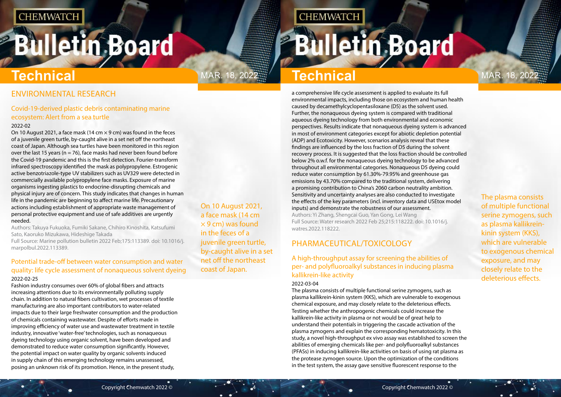# <span id="page-2-0"></span>**Bulletin Board**

On 10 August 2021, a face mask (14 cm  $\times$  9 cm) was found in the feces of a juvenile green turtle, by-caught alive in a set net off the northeast coast of Japan.

**CHEMWATCH** 

The plasma consists of multiple functional serine zymogens, such as plasma kallikreinkinin system (KKS), which are vulnerable to exogenous chemical exposure, and may closely relate to the deleterious effects.

# **Technical Technical**

MAR. 18, 2022 $\frac{m}{2}$  **Technical Mar.** 18, 202

## ENVIRONMENTAL RESEARCH

## Covid-19-derived plastic debris contaminating marine ecosystem: Alert from a sea turtle

### 2022-02

On 10 August 2021, a face mask (14 cm  $\times$  9 cm) was found in the feces of a juvenile green turtle, by-caught alive in a set net off the northeast coast of Japan. Although sea turtles have been monitored in this region over the last 15 years ( $n = 76$ ), face masks had never been found before the Covid-19 pandemic and this is the first detection. Fourier-transform infrared spectroscopy identified the mask as polypropylene. Estrogenic active benzotriazole-type UV stabilizers such as UV329 were detected in commercially available polypropylene face masks. Exposure of marine organisms ingesting plastics to endocrine-disrupting chemicals and physical injury are of concern. This study indicates that changes in human life in the pandemic are beginning to affect marine life. Precautionary actions including establishment of appropriate waste management of personal protective equipment and use of safe additives are urgently needed.

Authors: Takuya Fukuoka, Fumiki Sakane, Chihiro Kinoshita, Katsufumi Sato, Kaoruko Mizukawa, Hideshige Takada

Full Source: Marine pollution bulletin 2022 Feb;175:113389. doi: 10.1016/j. marpolbul.2022.113389.

## Potential trade-off between water consumption and water quality: life cycle assessment of nonaqueous solvent dyeing 2022-02-25

Fashion industry consumes over 60% of global fibers and attracts increasing attentions due to its environmentally polluting supply chain. In addition to natural fibers cultivation, wet processes of textile manufacturing are also important contributors to water-related impacts due to their large freshwater consumption and the production of chemicals containing wastewater. Despite of efforts made in improving efficiency of water use and wastewater treatment in textile industry, innovative 'water-free' technologies, such as nonaqueous dyeing technology using organic solvent, have been developed and demonstrated to reduce water consumption significantly. However, the potential impact on water quality by organic solvents induced in supply chain of this emerging technology remains unassessed, posing an unknown risk of its promotion. Hence, in the present study,

a comprehensive life cycle assessment is applied to evaluate its full environmental impacts, including those on ecosystem and human health caused by decamethylcyclopentasiloxane (D5) as the solvent used. Further, the nonaqueous dyeing system is compared with traditional aqueous dyeing technology from both environmental and economic perspectives. Results indicate that nonaqueous dyeing system is advanced in most of environment categories except for abiotic depletion potential (ADP) and Ecotoxicity. However, scenarios analysis reveal that these findings are influenced by the loss fraction of D5 during the solvent recovery process. It is suggested that the loss fraction should be controlled below 2% o.w.f. for the nonaqueous dyeing technology to be advanced throughout all environmental categories. Nonaqueous D5 dyeing could reduce water consumption by 61.30%-79.95% and greenhouse gas emissions by 43.70% compared to the traditional system, delivering a promising contribution to China's 2060 carbon neutrality ambition. Sensitivity and uncertainty analyses are also conducted to investigate the effects of the key parameters (incl. inventory data and USEtox model inputs) and demonstrate the robustness of our assessment. Authors: Yi Zhang, Shengcai Guo, Yan Gong, Lei Wang Full Source: Water research 2022 Feb 25;215:118222. doi: 10.1016/j. watres.2022.118222.

## PHARMACEUTICAL/TOXICOLOGY

A high-throughput assay for screening the abilities of per- and polyfluoroalkyl substances in inducing plasma kallikrein-like activity

### 2022-03-04

The plasma consists of multiple functional serine zymogens, such as plasma kallikrein-kinin system (KKS), which are vulnerable to exogenous chemical exposure, and may closely relate to the deleterious effects. Testing whether the anthropogenic chemicals could increase the kallikrein-like activity in plasma or not would be of great help to understand their potentials in triggering the cascade activation of the plasma zymogens and explain the corresponding hematotoxicity. In this study, a novel high-throughput ex vivo assay was established to screen the abilities of emerging chemicals like per- and polyfluoroalkyl substances (PFASs) in inducing kallikrein-like activities on basis of using rat plasma as the protease zymogen source. Upon the optimization of the conditions in the test system, the assay gave sensitive fluorescent response to the

# **Bulletin Board**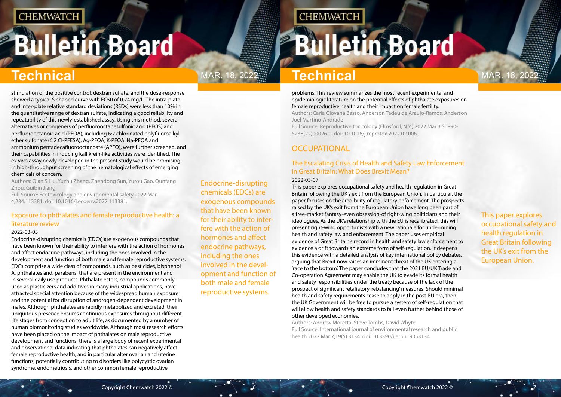# <span id="page-3-0"></span>**Bulletin Board**

Endocrine-disrupting chemicals (EDCs) are exogenous compounds that have been known for their ability to interfere with the action of hormones and affect endocrine pathways, including the ones involved in the development and function of both male and female reproductive systems.

# **CHEMWATCH**

# **Bulletin Board**

# MAR. 18, 2022 $\frac{m}{2}$  **Technical Mar. 18, 202**

This paper explores occupational safety and health regulation in Great Britain following the UK's exit from the European Union.

# **Technical Technical**

stimulation of the positive control, dextran sulfate, and the dose-response showed a typical S-shaped curve with EC50 of 0.24 mg/L. The intra-plate and inter-plate relative standard deviations (RSDs) were less than 10% in the quantitative range of dextran sulfate, indicating a good reliability and repeatability of this newly-established assay. Using this method, several alternatives or congeners of perfluorooctanesulfonic acid (PFOS) and perfluorooctanoic acid (PFOA), including 6:2 chlorinated polyfluoroalkyl ether sulfonate (6:2 Cl-PFESA), Ag-PFOA, K-PFOA, Na-PFOA and ammonium pentadecafluorooctanoate (APFO), were further screened, and their capabilities in inducing kallikrein-like activities were identified. The ex vivo assay newly-developed in the present study would be promising in high-throughput screening of the hematological effects of emerging chemicals of concern.

Authors: Qian S Liu, Yuzhu Zhang, Zhendong Sun, Yurou Gao, Qunfang Zhou, Guibin Jiang

Full Source: Ecotoxicology and environmental safety 2022 Mar 4;234:113381. doi: 10.1016/j.ecoenv.2022.113381.

## Exposure to phthalates and female reproductive health: a literature review

### 2022-03-03

Endocrine-disrupting chemicals (EDCs) are exogenous compounds that have been known for their ability to interfere with the action of hormones and affect endocrine pathways, including the ones involved in the development and function of both male and female reproductive systems. EDCs comprise a wide class of compounds, such as pesticides, bisphenol A, phthalates and, parabens, that are present in the environment and in several daily use products. Phthalate esters, compounds commonly used as plasticizers and additives in many industrial applications, have attracted special attention because of the widespread human exposure and the potential for disruption of androgen-dependent development in males. Although phthalates are rapidly metabolized and excreted, their ubiquitous presence ensures continuous exposures throughout different life stages from conception to adult life, as documented by a number of human biomonitoring studies worldwide. Although most research efforts have been placed on the impact of phthalates on male reproductive development and functions, there is a large body of recent experimental and observational data indicating that phthalates can negatively affect female reproductive health, and in particular alter ovarian and uterine functions, potentially contributing to disorders like polycystic ovarian syndrome, endometriosis, and other common female reproductive

problems. This review summarizes the most recent experimental and epidemiologic literature on the potential effects of phthalate exposures on female reproductive health and their impact on female fertility. Authors: Carla Giovana Basso, Anderson Tadeu de Araujo-Ramos, Anderson Joel Martino-Andrade

Full Source: Reproductive toxicology (Elmsford, N.Y.) 2022 Mar 3;S0890- 6238(22)00026-0. doi: 10.1016/j.reprotox.2022.02.006.

## **OCCUPATIONAL**

### The Escalating Crisis of Health and Safety Law Enforcement in Great Britain: What Does Brexit Mean? 2022-03-07

This paper explores occupational safety and health regulation in Great Britain following the UK's exit from the European Union. In particular, the paper focuses on the credibility of regulatory enforcement. The prospects raised by the UK's exit from the European Union have long been part of a free-market fantasy-even obsession-of right-wing politicians and their ideologues. As the UK's relationship with the EU is recalibrated, this will present right-wing opportunists with a new rationale for undermining health and safety law and enforcement. The paper uses empirical evidence of Great Britain's record in health and safety law enforcement to evidence a drift towards an extreme form of self-regulation. It deepens this evidence with a detailed analysis of key international policy debates, arguing that Brexit now raises an imminent threat of the UK entering a 'race to the bottom'. The paper concludes that the 2021 EU/UK Trade and Co-operation Agreement may enable the UK to evade its formal health and safety responsibilities under the treaty because of the lack of the prospect of significant retaliatory 'rebalancing' measures. Should minimal health and safety requirements cease to apply in the post-EU era, then the UK Government will be free to pursue a system of self-regulation that will allow health and safety standards to fall even further behind those of other developed economies.

Authors: Andrew Moretta, Steve Tombs, David Whyte Full Source: International journal of environmental research and public health 2022 Mar 7;19(5):3134. doi: 10.3390/ijerph19053134.